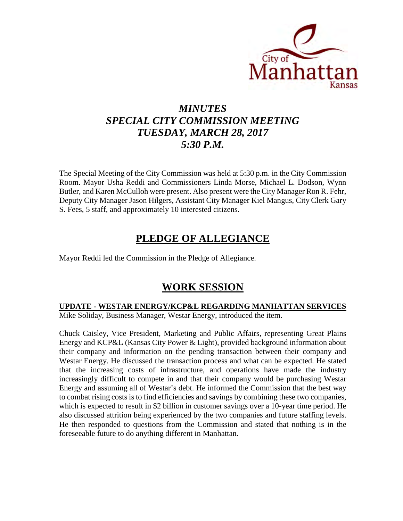

# *MINUTES SPECIAL CITY COMMISSION MEETING TUESDAY, MARCH 28, 2017 5:30 P.M.*

The Special Meeting of the City Commission was held at 5:30 p.m. in the City Commission Room. Mayor Usha Reddi and Commissioners Linda Morse, Michael L. Dodson, Wynn Butler, and Karen McCulloh were present. Also present were the City Manager Ron R. Fehr, Deputy City Manager Jason Hilgers, Assistant City Manager Kiel Mangus, City Clerk Gary S. Fees, 5 staff, and approximately 10 interested citizens.

## **PLEDGE OF ALLEGIANCE**

Mayor Reddi led the Commission in the Pledge of Allegiance.

### **WORK SESSION**

### **UPDATE - WESTAR ENERGY/KCP&L REGARDING MANHATTAN SERVICES**

Mike Soliday, Business Manager, Westar Energy, introduced the item.

Chuck Caisley, Vice President, Marketing and Public Affairs, representing Great Plains Energy and KCP&L (Kansas City Power & Light), provided background information about their company and information on the pending transaction between their company and Westar Energy. He discussed the transaction process and what can be expected. He stated that the increasing costs of infrastructure, and operations have made the industry increasingly difficult to compete in and that their company would be purchasing Westar Energy and assuming all of Westar's debt. He informed the Commission that the best way to combat rising costs is to find efficiencies and savings by combining these two companies, which is expected to result in \$2 billion in customer savings over a 10-year time period. He also discussed attrition being experienced by the two companies and future staffing levels. He then responded to questions from the Commission and stated that nothing is in the foreseeable future to do anything different in Manhattan.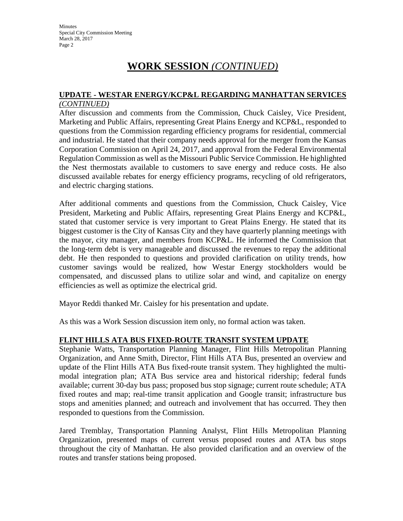Minutes Special City Commission Meeting March 28, 2017 Page 2

# **WORK SESSION** *(CONTINUED)*

#### **UPDATE - WESTAR ENERGY/KCP&L REGARDING MANHATTAN SERVICES** *(CONTINUED)*

After discussion and comments from the Commission, Chuck Caisley, Vice President, Marketing and Public Affairs, representing Great Plains Energy and KCP&L, responded to questions from the Commission regarding efficiency programs for residential, commercial and industrial. He stated that their company needs approval for the merger from the Kansas Corporation Commission on April 24, 2017, and approval from the Federal Environmental Regulation Commission as well as the Missouri Public Service Commission. He highlighted the Nest thermostats available to customers to save energy and reduce costs. He also discussed available rebates for energy efficiency programs, recycling of old refrigerators, and electric charging stations.

After additional comments and questions from the Commission, Chuck Caisley, Vice President, Marketing and Public Affairs, representing Great Plains Energy and KCP&L, stated that customer service is very important to Great Plains Energy. He stated that its biggest customer is the City of Kansas City and they have quarterly planning meetings with the mayor, city manager, and members from KCP&L. He informed the Commission that the long-term debt is very manageable and discussed the revenues to repay the additional debt. He then responded to questions and provided clarification on utility trends, how customer savings would be realized, how Westar Energy stockholders would be compensated, and discussed plans to utilize solar and wind, and capitalize on energy efficiencies as well as optimize the electrical grid.

Mayor Reddi thanked Mr. Caisley for his presentation and update.

As this was a Work Session discussion item only, no formal action was taken.

#### **FLINT HILLS ATA BUS FIXED-ROUTE TRANSIT SYSTEM UPDATE**

Stephanie Watts, Transportation Planning Manager, Flint Hills Metropolitan Planning Organization, and Anne Smith, Director, Flint Hills ATA Bus, presented an overview and update of the Flint Hills ATA Bus fixed-route transit system. They highlighted the multimodal integration plan; ATA Bus service area and historical ridership; federal funds available; current 30-day bus pass; proposed bus stop signage; current route schedule; ATA fixed routes and map; real-time transit application and Google transit; infrastructure bus stops and amenities planned; and outreach and involvement that has occurred. They then responded to questions from the Commission.

Jared Tremblay, Transportation Planning Analyst, Flint Hills Metropolitan Planning Organization, presented maps of current versus proposed routes and ATA bus stops throughout the city of Manhattan. He also provided clarification and an overview of the routes and transfer stations being proposed.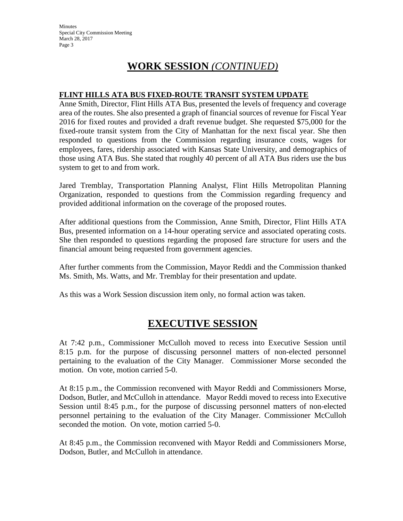Minutes Special City Commission Meeting March 28, 2017 Page 3

# **WORK SESSION** *(CONTINUED)*

#### **FLINT HILLS ATA BUS FIXED-ROUTE TRANSIT SYSTEM UPDATE**

Anne Smith, Director, Flint Hills ATA Bus, presented the levels of frequency and coverage area of the routes. She also presented a graph of financial sources of revenue for Fiscal Year 2016 for fixed routes and provided a draft revenue budget. She requested \$75,000 for the fixed-route transit system from the City of Manhattan for the next fiscal year. She then responded to questions from the Commission regarding insurance costs, wages for employees, fares, ridership associated with Kansas State University, and demographics of those using ATA Bus. She stated that roughly 40 percent of all ATA Bus riders use the bus system to get to and from work.

Jared Tremblay, Transportation Planning Analyst, Flint Hills Metropolitan Planning Organization, responded to questions from the Commission regarding frequency and provided additional information on the coverage of the proposed routes.

After additional questions from the Commission, Anne Smith, Director, Flint Hills ATA Bus, presented information on a 14-hour operating service and associated operating costs. She then responded to questions regarding the proposed fare structure for users and the financial amount being requested from government agencies.

After further comments from the Commission, Mayor Reddi and the Commission thanked Ms. Smith, Ms. Watts, and Mr. Tremblay for their presentation and update.

As this was a Work Session discussion item only, no formal action was taken.

### **EXECUTIVE SESSION**

At 7:42 p.m., Commissioner McCulloh moved to recess into Executive Session until 8:15 p.m. for the purpose of discussing personnel matters of non-elected personnel pertaining to the evaluation of the City Manager. Commissioner Morse seconded the motion. On vote, motion carried 5-0.

At 8:15 p.m., the Commission reconvened with Mayor Reddi and Commissioners Morse, Dodson, Butler, and McCulloh in attendance. Mayor Reddi moved to recess into Executive Session until 8:45 p.m., for the purpose of discussing personnel matters of non-elected personnel pertaining to the evaluation of the City Manager. Commissioner McCulloh seconded the motion. On vote, motion carried 5-0.

At 8:45 p.m., the Commission reconvened with Mayor Reddi and Commissioners Morse, Dodson, Butler, and McCulloh in attendance.